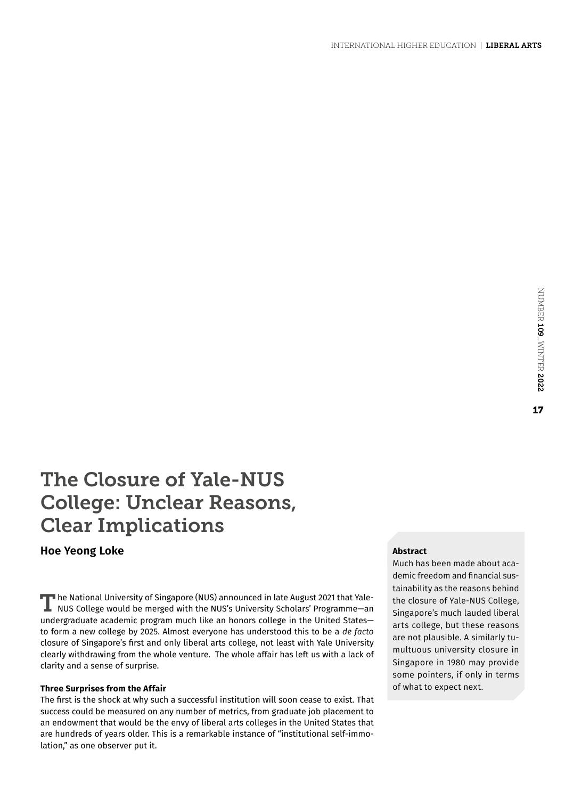# The Closure of Yale-NUS College: Unclear Reasons, Clear Implications

## **Hoe Yeong Loke**

The National University of Singapore (NUS) announced in late August 2021 that Yale-NUS College would be merged with the NUS's University Scholars' Programme—an undergraduate academic program much like an honors college in the United States to form a new college by 2025. Almost everyone has understood this to be a *de facto* closure of Singapore's first and only liberal arts college, not least with Yale University clearly withdrawing from the whole venture. The whole affair has left us with a lack of clarity and a sense of surprise.

## **Three Surprises from the Affair**

The first is the shock at why such a successful institution will soon cease to exist. That success could be measured on any number of metrics, from graduate job placement to an endowment that would be the envy of liberal arts colleges in the United States that are hundreds of years older. This is a remarkable instance of "institutional self-immolation," as one observer put it.

## **Abstract**

Much has been made about academic freedom and financial sustainability as the reasons behind the closure of Yale-NUS College, Singapore's much lauded liberal arts college, but these reasons are not plausible. A similarly tumultuous university closure in Singapore in 1980 may provide some pointers, if only in terms of what to expect next.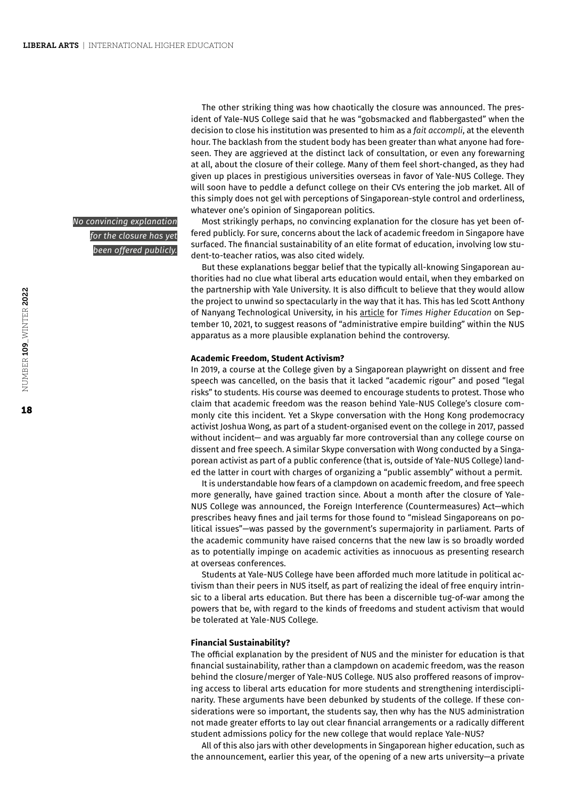*No convincing explanation for the closure has yet been offered publicly.*

The other striking thing was how chaotically the closure was announced. The president of Yale-NUS College said that he was "gobsmacked and flabbergasted" when the decision to close his institution was presented to him as a *fait accompli*, at the eleventh hour. The backlash from the student body has been greater than what anyone had foreseen. They are aggrieved at the distinct lack of consultation, or even any forewarning at all, about the closure of their college. Many of them feel short-changed, as they had given up places in prestigious universities overseas in favor of Yale-NUS College. They will soon have to peddle a defunct college on their CVs entering the job market. All of this simply does not gel with perceptions of Singaporean-style control and orderliness, whatever one's opinion of Singaporean politics.

Most strikingly perhaps, no convincing explanation for the closure has yet been offered publicly. For sure, concerns about the lack of academic freedom in Singapore have surfaced. The financial sustainability of an elite format of education, involving low student-to-teacher ratios, was also cited widely.

But these explanations beggar belief that the typically all-knowing Singaporean authorities had no clue what liberal arts education would entail, when they embarked on the partnership with Yale University. It is also difficult to believe that they would allow the project to unwind so spectacularly in the way that it has. This has led Scott Anthony of Nanyang Technological University, in his [article](https://www.timeshighereducation.com/blog/administrative-empire-building-may-have-sealed-yale-nus-fate) for *Times Higher Education* on September 10, 2021, to suggest reasons of "administrative empire building" within the NUS apparatus as a more plausible explanation behind the controversy.

#### **Academic Freedom, Student Activism?**

In 2019, a course at the College given by a Singaporean playwright on dissent and free speech was cancelled, on the basis that it lacked "academic rigour" and posed "legal risks" to students. His course was deemed to encourage students to protest. Those who claim that academic freedom was the reason behind Yale-NUS College's closure commonly cite this incident. Yet a Skype conversation with the Hong Kong prodemocracy activist Joshua Wong, as part of a student-organised event on the college in 2017, passed without incident— and was arguably far more controversial than any college course on dissent and free speech. A similar Skype conversation with Wong conducted by a Singaporean activist as part of a public conference (that is, outside of Yale-NUS College) landed the latter in court with charges of organizing a "public assembly" without a permit.

It is understandable how fears of a clampdown on academic freedom, and free speech more generally, have gained traction since. About a month after the closure of Yale-NUS College was announced, the Foreign Interference (Countermeasures) Act—which prescribes heavy fines and jail terms for those found to "mislead Singaporeans on political issues"—was passed by the government's supermajority in parliament. Parts of the academic community have raised concerns that the new law is so broadly worded as to potentially impinge on academic activities as innocuous as presenting research at overseas conferences.

Students at Yale-NUS College have been afforded much more latitude in political activism than their peers in NUS itself, as part of realizing the ideal of free enquiry intrinsic to a liberal arts education. But there has been a discernible tug-of-war among the powers that be, with regard to the kinds of freedoms and student activism that would be tolerated at Yale-NUS College.

#### **Financial Sustainability?**

The official explanation by the president of NUS and the minister for education is that financial sustainability, rather than a clampdown on academic freedom, was the reason behind the closure/merger of Yale-NUS College. NUS also proffered reasons of improving access to liberal arts education for more students and strengthening interdisciplinarity. These arguments have been debunked by students of the college. If these considerations were so important, the students say, then why has the NUS administration not made greater efforts to lay out clear financial arrangements or a radically different student admissions policy for the new college that would replace Yale-NUS?

All of this also jars with other developments in Singaporean higher education, such as the announcement, earlier this year, of the opening of a new arts university—a private